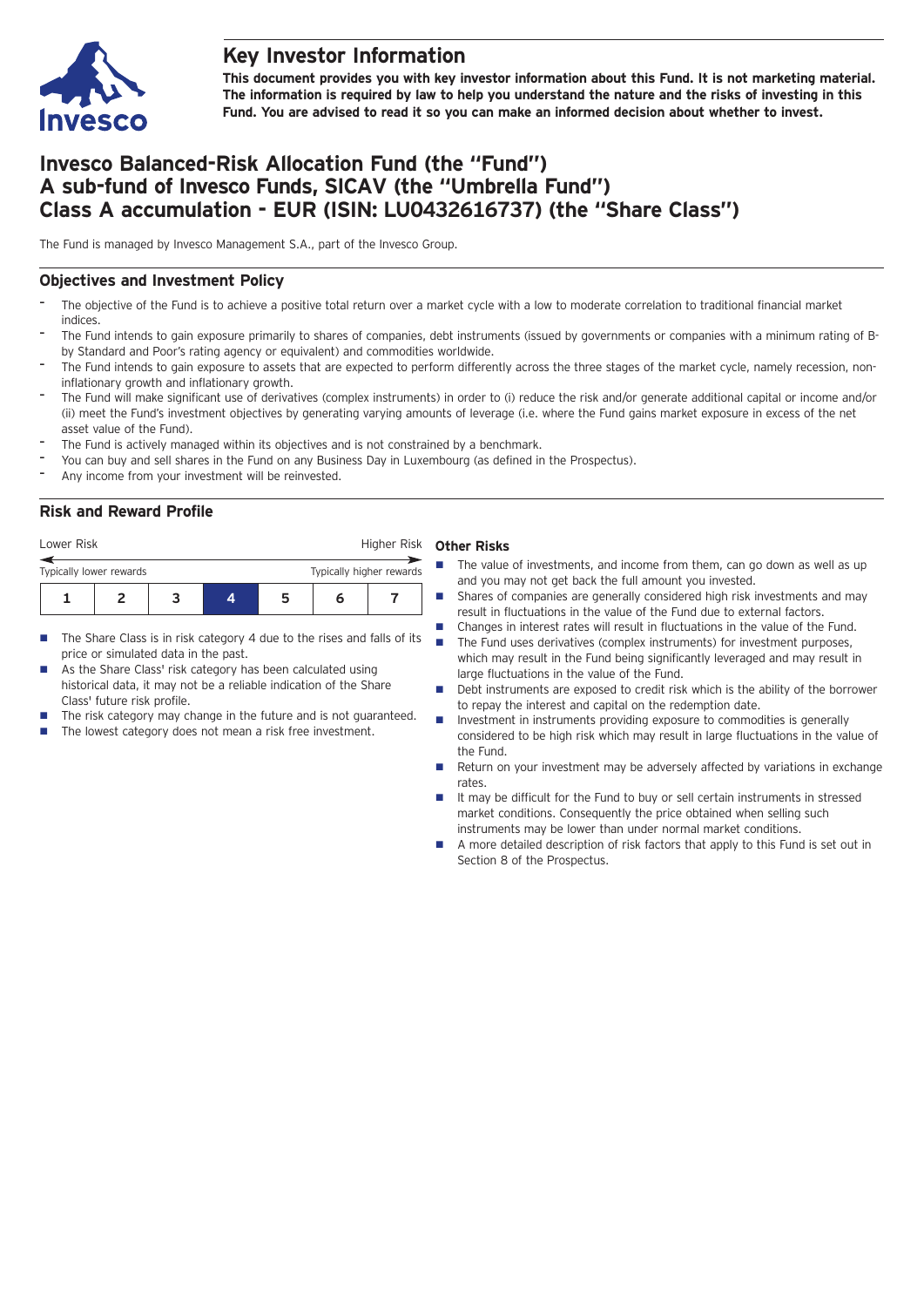

## **Key Investor Information**

**This document provides you with key investor information about this Fund. It is not marketing material.** The information is required by law to help you understand the nature and the risks of investing in this **Fund. You are advised to read it so you can make an informed decision about whether to invest.**

# **Invesco Balanced-Risk Allocation Fund (the "Fund") A sub-fund of Invesco Funds, SICAV (the "Umbrella Fund") Class A accumulation - EUR (ISIN: LU0432616737) (the "Share Class")**

The Fund is managed by Invesco Management S.A., part of the Invesco Group.

## **Objectives and Investment Policy**

- The objective of the Fund is to achieve a positive total return over a market cycle with a low to moderate correlation to traditional financial market indices
- The Fund intends to gain exposure primarily to shares of companies, debt instruments (issued by governments or companies with a minimum rating of Bby Standard and Poor's rating agency or equivalent) and commodities worldwide.
- The Fund intends to gain exposure to assets that are expected to perform differently across the three stages of the market cycle, namely recession, noninflationary growth and inflationary growth.
- The Fund will make significant use of derivatives (complex instruments) in order to (i) reduce the risk and/or generate additional capital or income and/or (ii) meet the Fund's investment objectives by generating varying amounts of leverage (i.e. where the Fund gains market exposure in excess of the net asset value of the Fund).
- The Fund is actively managed within its objectives and is not constrained by a benchmark.
- You can buy and sell shares in the Fund on any Business Day in Luxembourg (as defined in the Prospectus).
- Any income from your investment will be reinvested.

## **Risk and Reward Profile**

| Lower Risk              |  |  |   |    | Higher Risk              |  |  |
|-------------------------|--|--|---|----|--------------------------|--|--|
| Typically lower rewards |  |  |   |    | Typically higher rewards |  |  |
|                         |  |  | Д | 'n |                          |  |  |

- $\blacksquare$  The Share Class is in risk category 4 due to the rises and falls of its price or simulated data in the past.
- As the Share Class' risk category has been calculated using historical data, it may not be a reliable indication of the Share Class' future risk profile.
- The risk category may change in the future and is not guaranteed.
- The lowest category does not mean a risk free investment.

#### **Other Risks**

- $\blacksquare$  The value of investments, and income from them, can go down as well as up and you may not get back the full amount you invested.
- Shares of companies are generally considered high risk investments and may result in fluctuations in the value of the Fund due to external factors.
- Changes in interest rates will result in fluctuations in the value of the Fund.  $\blacksquare$  The Fund uses derivatives (complex instruments) for investment purposes, which may result in the Fund being significantly leveraged and may result in large fluctuations in the value of the Fund.
- n Debt instruments are exposed to credit risk which is the ability of the borrower to repay the interest and capital on the redemption date.
- Investment in instruments providing exposure to commodities is generally considered to be high risk which may result in large fluctuations in the value of the Fund.
- n Return on your investment may be adversely affected by variations in exchange rates.
- It may be difficult for the Fund to buy or sell certain instruments in stressed market conditions. Consequently the price obtained when selling such instruments may be lower than under normal market conditions.
- A more detailed description of risk factors that apply to this Fund is set out in Section 8 of the Prospectus.